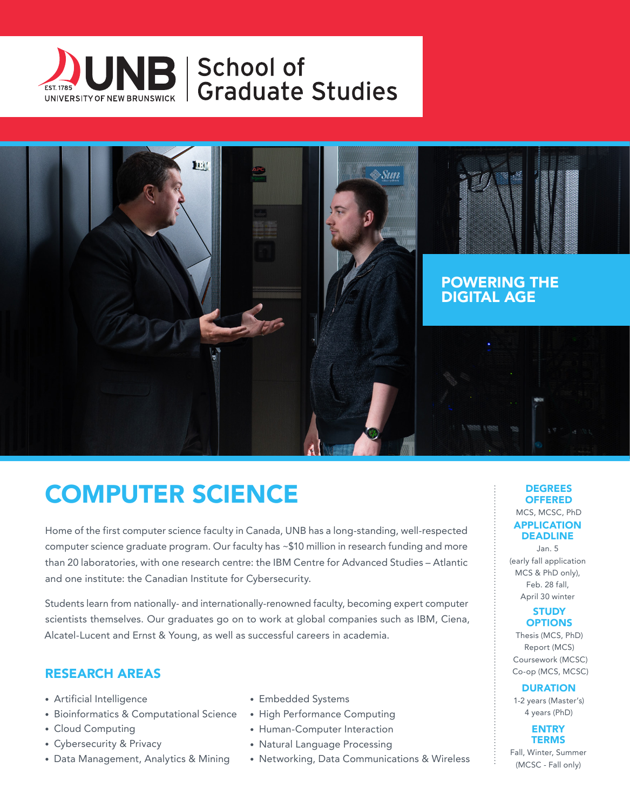



# COMPUTER SCIENCE

Home of the first computer science faculty in Canada, UNB has a long-standing, well-respected computer science graduate program. Our faculty has ~\$10 million in research funding and more than 20 laboratories, with one research centre: the IBM Centre for Advanced Studies – Atlantic and one institute: the Canadian Institute for Cybersecurity.

Students learn from nationally- and internationally-renowned faculty, becoming expert computer scientists themselves. Our graduates go on to work at global companies such as IBM, Ciena, Alcatel-Lucent and Ernst & Young, as well as successful careers in academia.

### RESEARCH AREAS

- Artificial Intelligence
- Bioinformatics & Computational Science
- Cloud Computing
- Cybersecurity & Privacy
- Data Management, Analytics & Mining
- Embedded Systems
- High Performance Computing
- Human-Computer Interaction
- Natural Language Processing
- Networking, Data Communications & Wireless

#### **DEGREES OFFERED**

MCS, MCSC, PhD APPLICATION DEADLINE

Jan. 5 (early fall application MCS & PhD only), Feb. 28 fall, April 30 winter

#### **STUDY OPTIONS**

Thesis (MCS, PhD) Report (MCS) Coursework (MCSC) Co-op (MCS, MCSC)

**DURATION** 

1-2 years (Master's) 4 years (PhD)

> **ENTRY TERMS**

Fall, Winter, Summer (MCSC - Fall only)